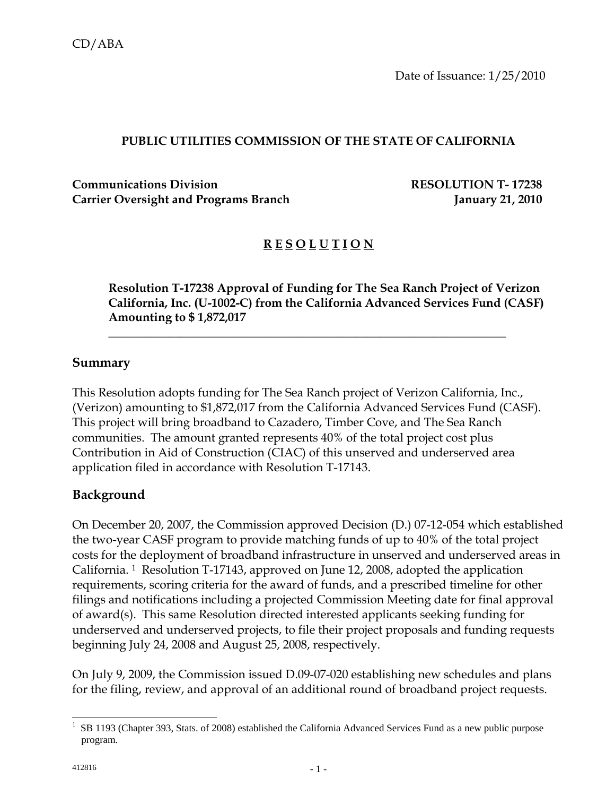Date of Issuance: 1/25/2010

### **PUBLIC UTILITIES COMMISSION OF THE STATE OF CALIFORNIA**

**Communications Division RESOLUTION T- 17238** Carrier Oversight and Programs Branch **January 21, 2010** 

# **R E S O L U T I O N**

**Resolution T-17238 Approval of Funding for The Sea Ranch Project of Verizon California, Inc. (U-1002-C) from the California Advanced Services Fund (CASF) Amounting to \$ 1,872,017** 

### **Summary**

This Resolution adopts funding for The Sea Ranch project of Verizon California, Inc., (Verizon) amounting to \$1,872,017 from the California Advanced Services Fund (CASF). This project will bring broadband to Cazadero, Timber Cove, and The Sea Ranch communities. The amount granted represents 40% of the total project cost plus Contribution in Aid of Construction (CIAC) of this unserved and underserved area application filed in accordance with Resolution T-17143.

 $\overline{\phantom{a}}$  , and the contract of the contract of the contract of the contract of the contract of the contract of the contract of the contract of the contract of the contract of the contract of the contract of the contrac

### **Background**

On December 20, 2007, the Commission approved Decision (D.) 07-12-054 which established the two-year CASF program to provide matching funds of up to 40% of the total project costs for the deployment of broadband infrastructure in unserved and underserved areas in California. 1 Resolution T-17143, approved on June 12, 2008, adopted the application requirements, scoring criteria for the award of funds, and a prescribed timeline for other filings and notifications including a projected Commission Meeting date for final approval of award(s). This same Resolution directed interested applicants seeking funding for underserved and underserved projects, to file their project proposals and funding requests beginning July 24, 2008 and August 25, 2008, respectively.

On July 9, 2009, the Commission issued D.09-07-020 establishing new schedules and plans for the filing, review, and approval of an additional round of broadband project requests.

 $\overline{\phantom{a}}$ 

<sup>&</sup>lt;sup>1</sup> SB 1193 (Chapter 393, Stats. of 2008) established the California Advanced Services Fund as a new public purpose program.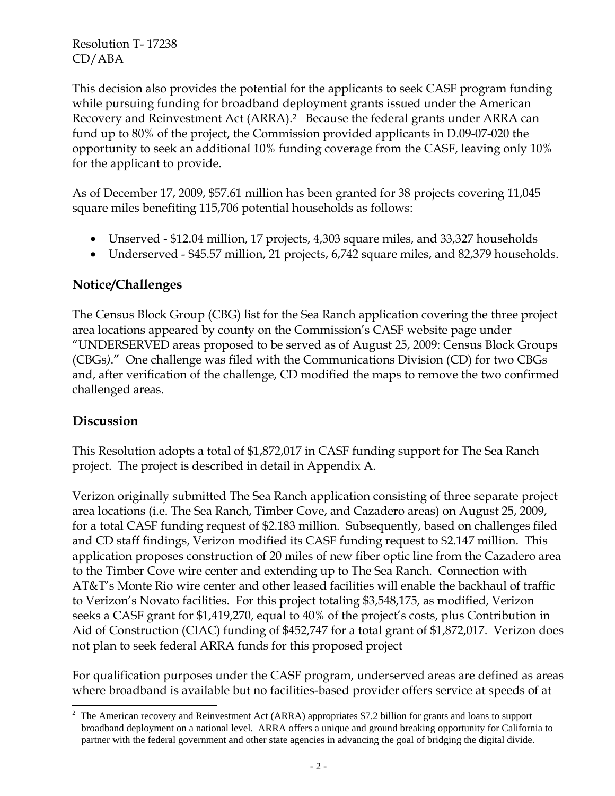This decision also provides the potential for the applicants to seek CASF program funding while pursuing funding for broadband deployment grants issued under the American Recovery and Reinvestment Act (ARRA).2 Because the federal grants under ARRA can fund up to 80% of the project, the Commission provided applicants in D.09-07-020 the opportunity to seek an additional 10% funding coverage from the CASF, leaving only 10% for the applicant to provide.

As of December 17, 2009, \$57.61 million has been granted for 38 projects covering 11,045 square miles benefiting 115,706 potential households as follows:

- Unserved \$12.04 million, 17 projects, 4,303 square miles, and 33,327 households
- Underserved \$45.57 million, 21 projects, 6,742 square miles, and 82,379 households.

### **Notice/Challenges**

The Census Block Group (CBG) list for the Sea Ranch application covering the three project area locations appeared by county on the Commission's CASF website page under "UNDERSERVED areas proposed to be served as of August 25, 2009: Census Block Groups (CBGs*)*." One challenge was filed with the Communications Division (CD) for two CBGs and, after verification of the challenge, CD modified the maps to remove the two confirmed challenged areas.

### **Discussion**

 $\overline{\phantom{a}}$ 

This Resolution adopts a total of \$1,872,017 in CASF funding support for The Sea Ranch project. The project is described in detail in Appendix A.

Verizon originally submitted The Sea Ranch application consisting of three separate project area locations (i.e. The Sea Ranch, Timber Cove, and Cazadero areas) on August 25, 2009, for a total CASF funding request of \$2.183 million. Subsequently, based on challenges filed and CD staff findings, Verizon modified its CASF funding request to \$2.147 million. This application proposes construction of 20 miles of new fiber optic line from the Cazadero area to the Timber Cove wire center and extending up to The Sea Ranch. Connection with AT&T's Monte Rio wire center and other leased facilities will enable the backhaul of traffic to Verizon's Novato facilities. For this project totaling \$3,548,175, as modified, Verizon seeks a CASF grant for \$1,419,270, equal to 40% of the project's costs, plus Contribution in Aid of Construction (CIAC) funding of \$452,747 for a total grant of \$1,872,017. Verizon does not plan to seek federal ARRA funds for this proposed project

For qualification purposes under the CASF program, underserved areas are defined as areas where broadband is available but no facilities-based provider offers service at speeds of at

<sup>2</sup> The American recovery and Reinvestment Act (ARRA) appropriates \$7.2 billion for grants and loans to support broadband deployment on a national level. ARRA offers a unique and ground breaking opportunity for California to partner with the federal government and other state agencies in advancing the goal of bridging the digital divide.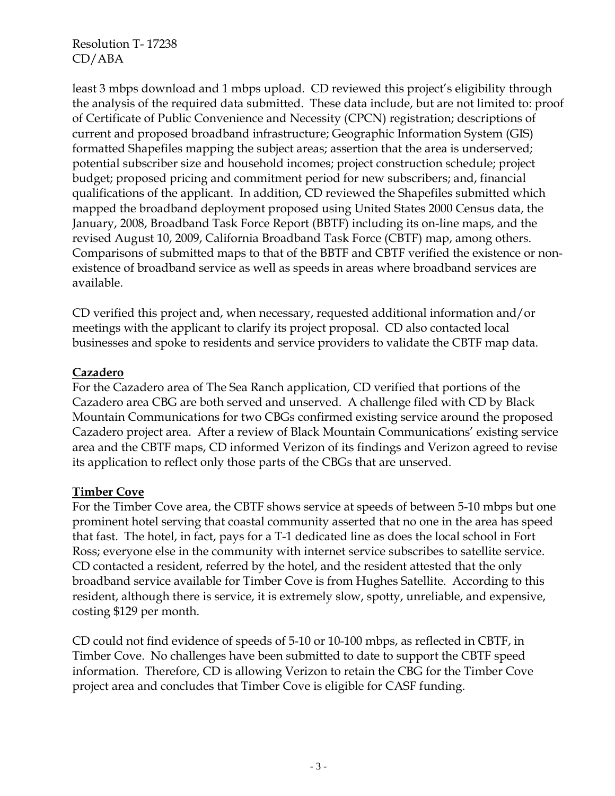least 3 mbps download and 1 mbps upload. CD reviewed this project's eligibility through the analysis of the required data submitted. These data include, but are not limited to: proof of Certificate of Public Convenience and Necessity (CPCN) registration; descriptions of current and proposed broadband infrastructure; Geographic Information System (GIS) formatted Shapefiles mapping the subject areas; assertion that the area is underserved; potential subscriber size and household incomes; project construction schedule; project budget; proposed pricing and commitment period for new subscribers; and, financial qualifications of the applicant. In addition, CD reviewed the Shapefiles submitted which mapped the broadband deployment proposed using United States 2000 Census data, the January, 2008, Broadband Task Force Report (BBTF) including its on-line maps, and the revised August 10, 2009, California Broadband Task Force (CBTF) map, among others. Comparisons of submitted maps to that of the BBTF and CBTF verified the existence or nonexistence of broadband service as well as speeds in areas where broadband services are available.

CD verified this project and, when necessary, requested additional information and/or meetings with the applicant to clarify its project proposal. CD also contacted local businesses and spoke to residents and service providers to validate the CBTF map data.

#### **Cazadero**

For the Cazadero area of The Sea Ranch application, CD verified that portions of the Cazadero area CBG are both served and unserved. A challenge filed with CD by Black Mountain Communications for two CBGs confirmed existing service around the proposed Cazadero project area. After a review of Black Mountain Communications' existing service area and the CBTF maps, CD informed Verizon of its findings and Verizon agreed to revise its application to reflect only those parts of the CBGs that are unserved.

### **Timber Cove**

For the Timber Cove area, the CBTF shows service at speeds of between 5-10 mbps but one prominent hotel serving that coastal community asserted that no one in the area has speed that fast. The hotel, in fact, pays for a T-1 dedicated line as does the local school in Fort Ross; everyone else in the community with internet service subscribes to satellite service. CD contacted a resident, referred by the hotel, and the resident attested that the only broadband service available for Timber Cove is from Hughes Satellite. According to this resident, although there is service, it is extremely slow, spotty, unreliable, and expensive, costing \$129 per month.

CD could not find evidence of speeds of 5-10 or 10-100 mbps, as reflected in CBTF, in Timber Cove. No challenges have been submitted to date to support the CBTF speed information. Therefore, CD is allowing Verizon to retain the CBG for the Timber Cove project area and concludes that Timber Cove is eligible for CASF funding.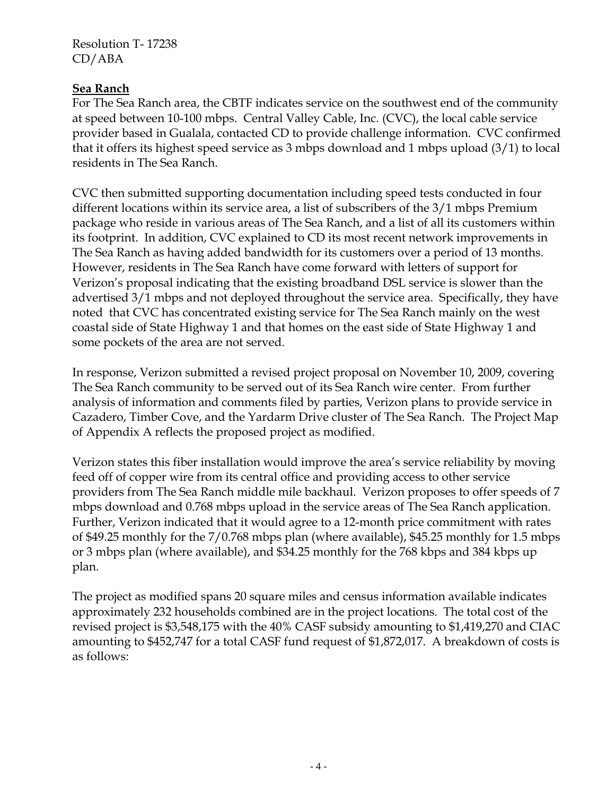#### **Sea Ranch**

For The Sea Ranch area, the CBTF indicates service on the southwest end of the community at speed between 10-100 mbps. Central Valley Cable, Inc. (CVC), the local cable service provider based in Gualala, contacted CD to provide challenge information. CVC confirmed that it offers its highest speed service as 3 mbps download and 1 mbps upload (3/1) to local residents in The Sea Ranch.

CVC then submitted supporting documentation including speed tests conducted in four different locations within its service area, a list of subscribers of the 3/1 mbps Premium package who reside in various areas of The Sea Ranch, and a list of all its customers within its footprint. In addition, CVC explained to CD its most recent network improvements in The Sea Ranch as having added bandwidth for its customers over a period of 13 months. However, residents in The Sea Ranch have come forward with letters of support for Verizon's proposal indicating that the existing broadband DSL service is slower than the advertised 3/1 mbps and not deployed throughout the service area. Specifically, they have noted that CVC has concentrated existing service for The Sea Ranch mainly on the west coastal side of State Highway 1 and that homes on the east side of State Highway 1 and some pockets of the area are not served.

In response, Verizon submitted a revised project proposal on November 10, 2009, covering The Sea Ranch community to be served out of its Sea Ranch wire center. From further analysis of information and comments filed by parties, Verizon plans to provide service in Cazadero, Timber Cove, and the Yardarm Drive cluster of The Sea Ranch. The Project Map of Appendix A reflects the proposed project as modified.

Verizon states this fiber installation would improve the area's service reliability by moving feed off of copper wire from its central office and providing access to other service providers from The Sea Ranch middle mile backhaul. Verizon proposes to offer speeds of 7 mbps download and 0.768 mbps upload in the service areas of The Sea Ranch application. Further, Verizon indicated that it would agree to a 12-month price commitment with rates of \$49.25 monthly for the 7/0.768 mbps plan (where available), \$45.25 monthly for 1.5 mbps or 3 mbps plan (where available), and \$34.25 monthly for the 768 kbps and 384 kbps up plan.

The project as modified spans 20 square miles and census information available indicates approximately 232 households combined are in the project locations. The total cost of the revised project is \$3,548,175 with the 40% CASF subsidy amounting to \$1,419,270 and CIAC amounting to \$452,747 for a total CASF fund request of \$1,872,017. A breakdown of costs is as follows: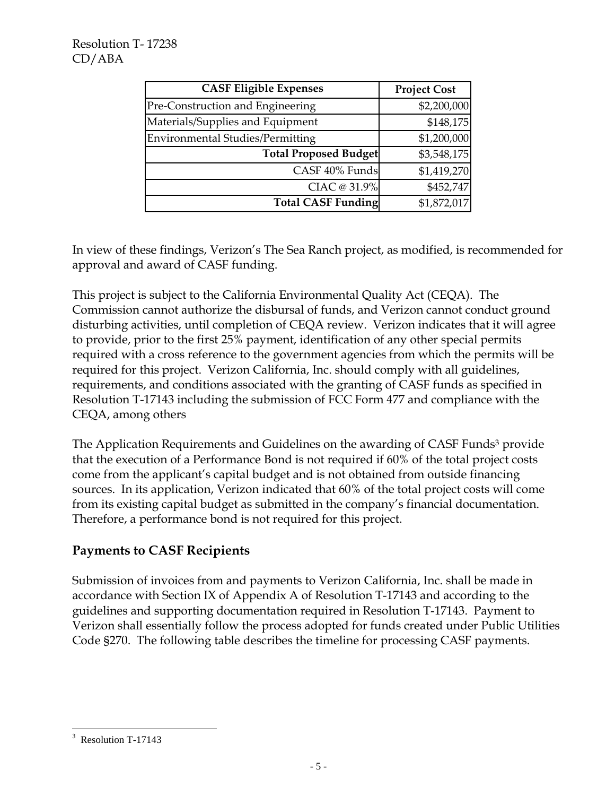| <b>CASF Eligible Expenses</b>           | <b>Project Cost</b> |
|-----------------------------------------|---------------------|
| Pre-Construction and Engineering        | \$2,200,000         |
| Materials/Supplies and Equipment        | \$148,175           |
| <b>Environmental Studies/Permitting</b> | \$1,200,000         |
| <b>Total Proposed Budget</b>            | \$3,548,175         |
| CASF 40% Funds                          | \$1,419,270         |
| CIAC @ 31.9%                            | \$452,747           |
| <b>Total CASF Funding</b>               | \$1,872,017         |

In view of these findings, Verizon's The Sea Ranch project, as modified, is recommended for approval and award of CASF funding.

This project is subject to the California Environmental Quality Act (CEQA). The Commission cannot authorize the disbursal of funds, and Verizon cannot conduct ground disturbing activities, until completion of CEQA review. Verizon indicates that it will agree to provide, prior to the first 25% payment, identification of any other special permits required with a cross reference to the government agencies from which the permits will be required for this project. Verizon California, Inc. should comply with all guidelines, requirements, and conditions associated with the granting of CASF funds as specified in Resolution T-17143 including the submission of FCC Form 477 and compliance with the CEQA, among others

The Application Requirements and Guidelines on the awarding of CASF Funds<sup>3</sup> provide that the execution of a Performance Bond is not required if 60% of the total project costs come from the applicant's capital budget and is not obtained from outside financing sources. In its application, Verizon indicated that 60% of the total project costs will come from its existing capital budget as submitted in the company's financial documentation. Therefore, a performance bond is not required for this project.

# **Payments to CASF Recipients**

Submission of invoices from and payments to Verizon California, Inc. shall be made in accordance with Section IX of Appendix A of Resolution T-17143 and according to the guidelines and supporting documentation required in Resolution T-17143. Payment to Verizon shall essentially follow the process adopted for funds created under Public Utilities Code §270. The following table describes the timeline for processing CASF payments.

 $\overline{\phantom{a}}$ 

<sup>&</sup>lt;sup>3</sup> Resolution T-17143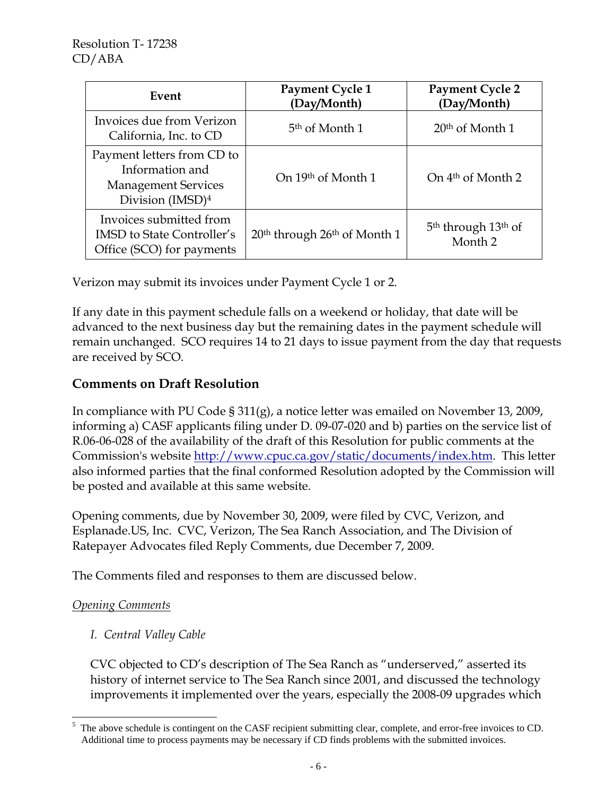| Event                                                                                                       | Payment Cycle 1<br>(Day/Month)                       | <b>Payment Cycle 2</b><br>(Day/Month)                             |
|-------------------------------------------------------------------------------------------------------------|------------------------------------------------------|-------------------------------------------------------------------|
| Invoices due from Verizon<br>California, Inc. to CD                                                         | 5 <sup>th</sup> of Month 1                           | $20th$ of Month 1                                                 |
| Payment letters from CD to<br>Information and<br><b>Management Services</b><br>Division (IMSD) <sup>4</sup> | On 19th of Month 1                                   | On 4 <sup>th</sup> of Month 2                                     |
| Invoices submitted from<br><b>IMSD</b> to State Controller's<br>Office (SCO) for payments                   | 20 <sup>th</sup> through 26 <sup>th</sup> of Month 1 | 5 <sup>th</sup> through 13 <sup>th</sup> of<br>Month <sub>2</sub> |

Verizon may submit its invoices under Payment Cycle 1 or 2.

If any date in this payment schedule falls on a weekend or holiday, that date will be advanced to the next business day but the remaining dates in the payment schedule will remain unchanged. SCO requires 14 to 21 days to issue payment from the day that requests are received by SCO.

### **Comments on Draft Resolution**

In compliance with PU Code § 311(g), a notice letter was emailed on November 13, 2009, informing a) CASF applicants filing under D. 09-07-020 and b) parties on the service list of R.06-06-028 of the availability of the draft of this Resolution for public comments at the Commission's website http://www.cpuc.ca.gov/static/documents/index.htm. This letter also informed parties that the final conformed Resolution adopted by the Commission will be posted and available at this same website.

Opening comments, due by November 30, 2009, were filed by CVC, Verizon, and Esplanade.US, Inc. CVC, Verizon, The Sea Ranch Association, and The Division of Ratepayer Advocates filed Reply Comments, due December 7, 2009.

The Comments filed and responses to them are discussed below.

### *Opening Comments*

### *I. Central Valley Cable*

 CVC objected to CD's description of The Sea Ranch as "underserved," asserted its history of internet service to The Sea Ranch since 2001, and discussed the technology improvements it implemented over the years, especially the 2008-09 upgrades which

 5 The above schedule is contingent on the CASF recipient submitting clear, complete, and error-free invoices to CD. Additional time to process payments may be necessary if CD finds problems with the submitted invoices.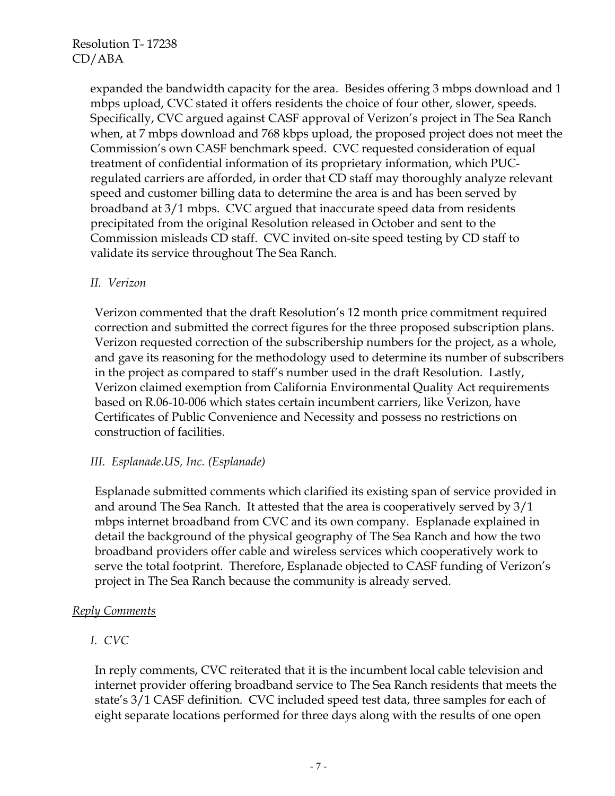expanded the bandwidth capacity for the area. Besides offering 3 mbps download and 1 mbps upload, CVC stated it offers residents the choice of four other, slower, speeds. Specifically, CVC argued against CASF approval of Verizon's project in The Sea Ranch when, at 7 mbps download and 768 kbps upload, the proposed project does not meet the Commission's own CASF benchmark speed. CVC requested consideration of equal treatment of confidential information of its proprietary information, which PUCregulated carriers are afforded, in order that CD staff may thoroughly analyze relevant speed and customer billing data to determine the area is and has been served by broadband at 3/1 mbps. CVC argued that inaccurate speed data from residents precipitated from the original Resolution released in October and sent to the Commission misleads CD staff. CVC invited on-site speed testing by CD staff to validate its service throughout The Sea Ranch.

### *II. Verizon*

 Verizon commented that the draft Resolution's 12 month price commitment required correction and submitted the correct figures for the three proposed subscription plans. Verizon requested correction of the subscribership numbers for the project, as a whole, and gave its reasoning for the methodology used to determine its number of subscribers in the project as compared to staff's number used in the draft Resolution. Lastly, Verizon claimed exemption from California Environmental Quality Act requirements based on R.06-10-006 which states certain incumbent carriers, like Verizon, have Certificates of Public Convenience and Necessity and possess no restrictions on construction of facilities.

### *III. Esplanade.US, Inc. (Esplanade)*

 Esplanade submitted comments which clarified its existing span of service provided in and around The Sea Ranch. It attested that the area is cooperatively served by 3/1 mbps internet broadband from CVC and its own company. Esplanade explained in detail the background of the physical geography of The Sea Ranch and how the two broadband providers offer cable and wireless services which cooperatively work to serve the total footprint. Therefore, Esplanade objected to CASF funding of Verizon's project in The Sea Ranch because the community is already served.

### *Reply Comments*

### *I. CVC*

 In reply comments, CVC reiterated that it is the incumbent local cable television and internet provider offering broadband service to The Sea Ranch residents that meets the state's 3/1 CASF definition. CVC included speed test data, three samples for each of eight separate locations performed for three days along with the results of one open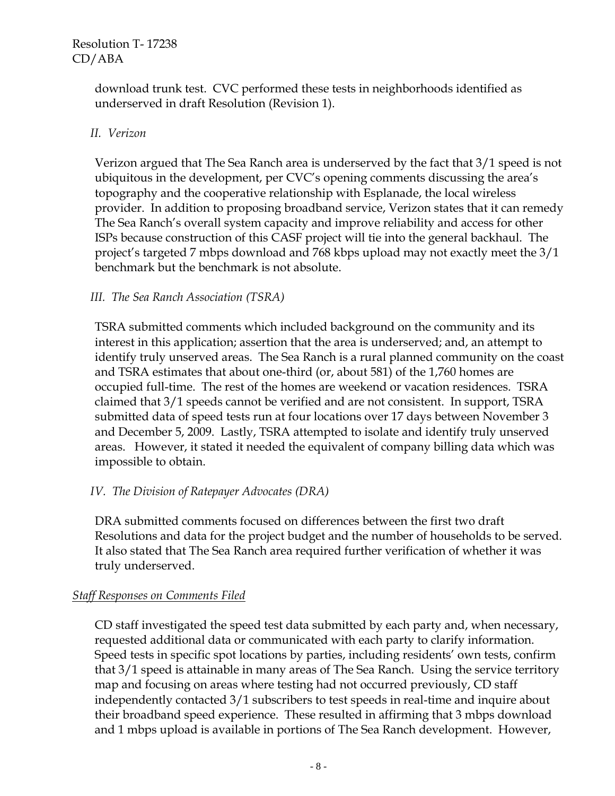download trunk test. CVC performed these tests in neighborhoods identified as underserved in draft Resolution (Revision 1).

#### *II. Verizon*

 Verizon argued that The Sea Ranch area is underserved by the fact that 3/1 speed is not ubiquitous in the development, per CVC's opening comments discussing the area's topography and the cooperative relationship with Esplanade, the local wireless provider. In addition to proposing broadband service, Verizon states that it can remedy The Sea Ranch's overall system capacity and improve reliability and access for other ISPs because construction of this CASF project will tie into the general backhaul. The project's targeted 7 mbps download and 768 kbps upload may not exactly meet the 3/1 benchmark but the benchmark is not absolute.

#### *III. The Sea Ranch Association (TSRA)*

 TSRA submitted comments which included background on the community and its interest in this application; assertion that the area is underserved; and, an attempt to identify truly unserved areas. The Sea Ranch is a rural planned community on the coast and TSRA estimates that about one-third (or, about 581) of the 1,760 homes are occupied full-time. The rest of the homes are weekend or vacation residences. TSRA claimed that 3/1 speeds cannot be verified and are not consistent. In support, TSRA submitted data of speed tests run at four locations over 17 days between November 3 and December 5, 2009. Lastly, TSRA attempted to isolate and identify truly unserved areas. However, it stated it needed the equivalent of company billing data which was impossible to obtain.

### *IV. The Division of Ratepayer Advocates (DRA)*

 DRA submitted comments focused on differences between the first two draft Resolutions and data for the project budget and the number of households to be served. It also stated that The Sea Ranch area required further verification of whether it was truly underserved.

#### *Staff Responses on Comments Filed*

 CD staff investigated the speed test data submitted by each party and, when necessary, requested additional data or communicated with each party to clarify information. Speed tests in specific spot locations by parties, including residents' own tests, confirm that 3/1 speed is attainable in many areas of The Sea Ranch. Using the service territory map and focusing on areas where testing had not occurred previously, CD staff independently contacted 3/1 subscribers to test speeds in real-time and inquire about their broadband speed experience. These resulted in affirming that 3 mbps download and 1 mbps upload is available in portions of The Sea Ranch development. However,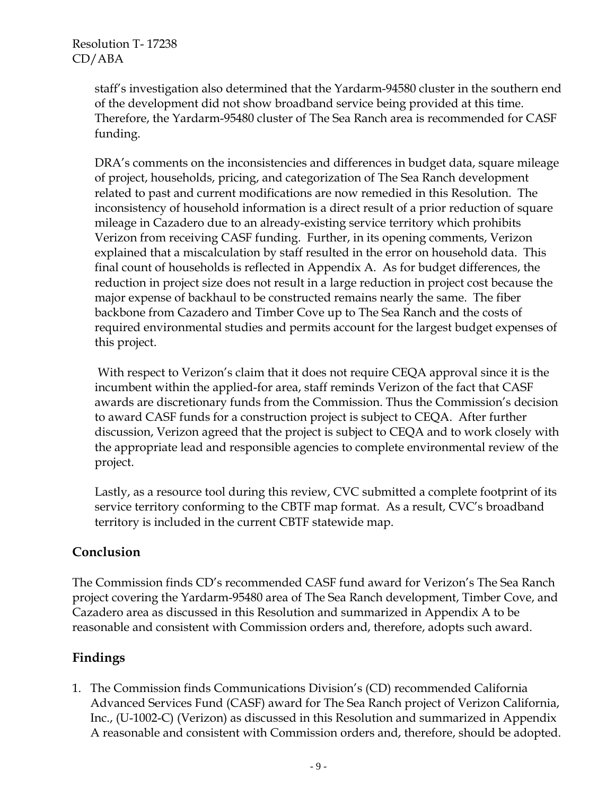staff's investigation also determined that the Yardarm-94580 cluster in the southern end of the development did not show broadband service being provided at this time. Therefore, the Yardarm-95480 cluster of The Sea Ranch area is recommended for CASF funding.

 DRA's comments on the inconsistencies and differences in budget data, square mileage of project, households, pricing, and categorization of The Sea Ranch development related to past and current modifications are now remedied in this Resolution. The inconsistency of household information is a direct result of a prior reduction of square mileage in Cazadero due to an already-existing service territory which prohibits Verizon from receiving CASF funding. Further, in its opening comments, Verizon explained that a miscalculation by staff resulted in the error on household data. This final count of households is reflected in Appendix A. As for budget differences, the reduction in project size does not result in a large reduction in project cost because the major expense of backhaul to be constructed remains nearly the same. The fiber backbone from Cazadero and Timber Cove up to The Sea Ranch and the costs of required environmental studies and permits account for the largest budget expenses of this project.

 With respect to Verizon's claim that it does not require CEQA approval since it is the incumbent within the applied-for area, staff reminds Verizon of the fact that CASF awards are discretionary funds from the Commission. Thus the Commission's decision to award CASF funds for a construction project is subject to CEQA. After further discussion, Verizon agreed that the project is subject to CEQA and to work closely with the appropriate lead and responsible agencies to complete environmental review of the project.

 Lastly, as a resource tool during this review, CVC submitted a complete footprint of its service territory conforming to the CBTF map format. As a result, CVC's broadband territory is included in the current CBTF statewide map.

### **Conclusion**

The Commission finds CD's recommended CASF fund award for Verizon's The Sea Ranch project covering the Yardarm-95480 area of The Sea Ranch development, Timber Cove, and Cazadero area as discussed in this Resolution and summarized in Appendix A to be reasonable and consistent with Commission orders and, therefore, adopts such award.

# **Findings**

1. The Commission finds Communications Division's (CD) recommended California Advanced Services Fund (CASF) award for The Sea Ranch project of Verizon California, Inc., (U-1002-C) (Verizon) as discussed in this Resolution and summarized in Appendix A reasonable and consistent with Commission orders and, therefore, should be adopted.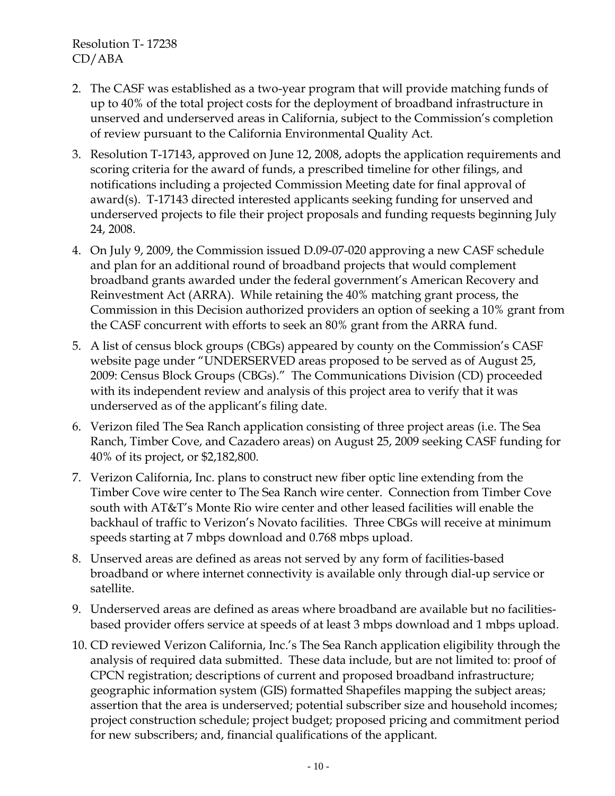- 2. The CASF was established as a two-year program that will provide matching funds of up to 40% of the total project costs for the deployment of broadband infrastructure in unserved and underserved areas in California, subject to the Commission's completion of review pursuant to the California Environmental Quality Act.
- 3. Resolution T-17143, approved on June 12, 2008, adopts the application requirements and scoring criteria for the award of funds, a prescribed timeline for other filings, and notifications including a projected Commission Meeting date for final approval of award(s). T-17143 directed interested applicants seeking funding for unserved and underserved projects to file their project proposals and funding requests beginning July 24, 2008.
- 4. On July 9, 2009, the Commission issued D.09-07-020 approving a new CASF schedule and plan for an additional round of broadband projects that would complement broadband grants awarded under the federal government's American Recovery and Reinvestment Act (ARRA). While retaining the 40% matching grant process, the Commission in this Decision authorized providers an option of seeking a 10% grant from the CASF concurrent with efforts to seek an 80% grant from the ARRA fund.
- 5. A list of census block groups (CBGs) appeared by county on the Commission's CASF website page under "UNDERSERVED areas proposed to be served as of August 25, 2009: Census Block Groups (CBGs)." The Communications Division (CD) proceeded with its independent review and analysis of this project area to verify that it was underserved as of the applicant's filing date.
- 6. Verizon filed The Sea Ranch application consisting of three project areas (i.e. The Sea Ranch, Timber Cove, and Cazadero areas) on August 25, 2009 seeking CASF funding for 40% of its project, or \$2,182,800.
- 7. Verizon California, Inc. plans to construct new fiber optic line extending from the Timber Cove wire center to The Sea Ranch wire center. Connection from Timber Cove south with AT&T's Monte Rio wire center and other leased facilities will enable the backhaul of traffic to Verizon's Novato facilities. Three CBGs will receive at minimum speeds starting at 7 mbps download and 0.768 mbps upload.
- 8. Unserved areas are defined as areas not served by any form of facilities-based broadband or where internet connectivity is available only through dial-up service or satellite.
- 9. Underserved areas are defined as areas where broadband are available but no facilitiesbased provider offers service at speeds of at least 3 mbps download and 1 mbps upload.
- 10. CD reviewed Verizon California, Inc.'s The Sea Ranch application eligibility through the analysis of required data submitted. These data include, but are not limited to: proof of CPCN registration; descriptions of current and proposed broadband infrastructure; geographic information system (GIS) formatted Shapefiles mapping the subject areas; assertion that the area is underserved; potential subscriber size and household incomes; project construction schedule; project budget; proposed pricing and commitment period for new subscribers; and, financial qualifications of the applicant.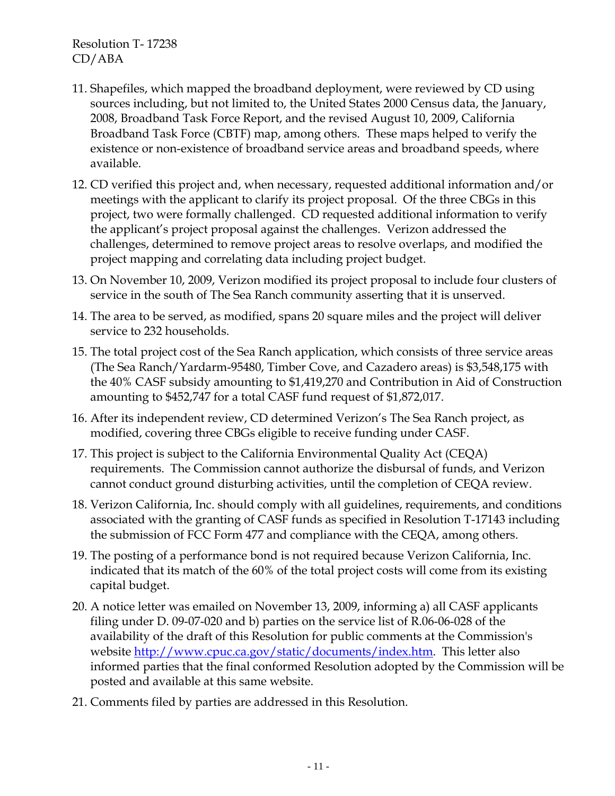- 11. Shapefiles, which mapped the broadband deployment, were reviewed by CD using sources including, but not limited to, the United States 2000 Census data, the January, 2008, Broadband Task Force Report, and the revised August 10, 2009, California Broadband Task Force (CBTF) map, among others. These maps helped to verify the existence or non-existence of broadband service areas and broadband speeds, where available.
- 12. CD verified this project and, when necessary, requested additional information and/or meetings with the applicant to clarify its project proposal. Of the three CBGs in this project, two were formally challenged. CD requested additional information to verify the applicant's project proposal against the challenges. Verizon addressed the challenges, determined to remove project areas to resolve overlaps, and modified the project mapping and correlating data including project budget.
- 13. On November 10, 2009, Verizon modified its project proposal to include four clusters of service in the south of The Sea Ranch community asserting that it is unserved.
- 14. The area to be served, as modified, spans 20 square miles and the project will deliver service to 232 households.
- 15. The total project cost of the Sea Ranch application, which consists of three service areas (The Sea Ranch/Yardarm-95480, Timber Cove, and Cazadero areas) is \$3,548,175 with the 40% CASF subsidy amounting to \$1,419,270 and Contribution in Aid of Construction amounting to \$452,747 for a total CASF fund request of \$1,872,017.
- 16. After its independent review, CD determined Verizon's The Sea Ranch project, as modified, covering three CBGs eligible to receive funding under CASF.
- 17. This project is subject to the California Environmental Quality Act (CEQA) requirements. The Commission cannot authorize the disbursal of funds, and Verizon cannot conduct ground disturbing activities, until the completion of CEQA review.
- 18. Verizon California, Inc. should comply with all guidelines, requirements, and conditions associated with the granting of CASF funds as specified in Resolution T-17143 including the submission of FCC Form 477 and compliance with the CEQA, among others.
- 19. The posting of a performance bond is not required because Verizon California, Inc. indicated that its match of the 60% of the total project costs will come from its existing capital budget.
- 20. A notice letter was emailed on November 13, 2009, informing a) all CASF applicants filing under D. 09-07-020 and b) parties on the service list of R.06-06-028 of the availability of the draft of this Resolution for public comments at the Commission's website http://www.cpuc.ca.gov/static/documents/index.htm. This letter also informed parties that the final conformed Resolution adopted by the Commission will be posted and available at this same website.
- 21. Comments filed by parties are addressed in this Resolution.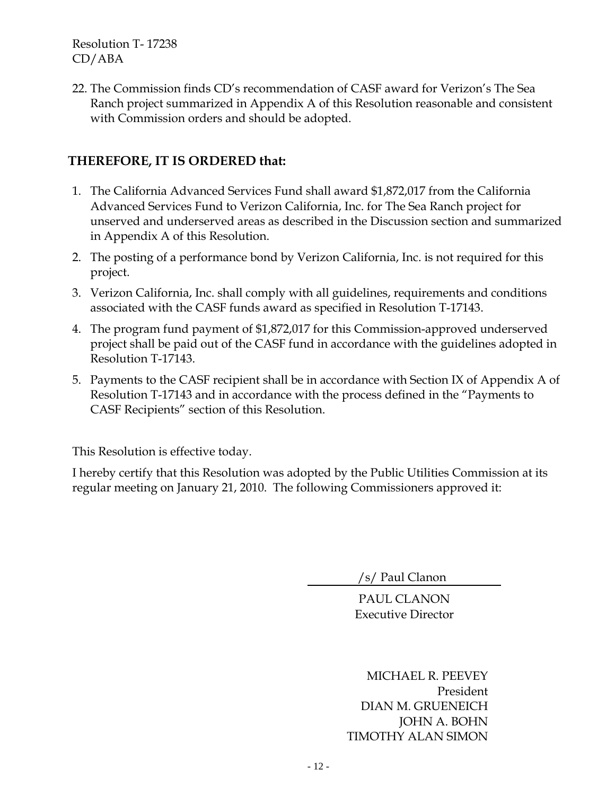22. The Commission finds CD's recommendation of CASF award for Verizon's The Sea Ranch project summarized in Appendix A of this Resolution reasonable and consistent with Commission orders and should be adopted.

# **THEREFORE, IT IS ORDERED that:**

- 1. The California Advanced Services Fund shall award \$1,872,017 from the California Advanced Services Fund to Verizon California, Inc. for The Sea Ranch project for unserved and underserved areas as described in the Discussion section and summarized in Appendix A of this Resolution.
- 2. The posting of a performance bond by Verizon California, Inc. is not required for this project.
- 3. Verizon California, Inc. shall comply with all guidelines, requirements and conditions associated with the CASF funds award as specified in Resolution T-17143.
- 4. The program fund payment of \$1,872,017 for this Commission-approved underserved project shall be paid out of the CASF fund in accordance with the guidelines adopted in Resolution T-17143.
- 5. Payments to the CASF recipient shall be in accordance with Section IX of Appendix A of Resolution T-17143 and in accordance with the process defined in the "Payments to CASF Recipients" section of this Resolution.

This Resolution is effective today.

I hereby certify that this Resolution was adopted by the Public Utilities Commission at its regular meeting on January 21, 2010. The following Commissioners approved it:

/s/ Paul Clanon

PAUL CLANON Executive Director

MICHAEL R. PEEVEY President DIAN M. GRUENEICH JOHN A. BOHN TIMOTHY ALAN SIMON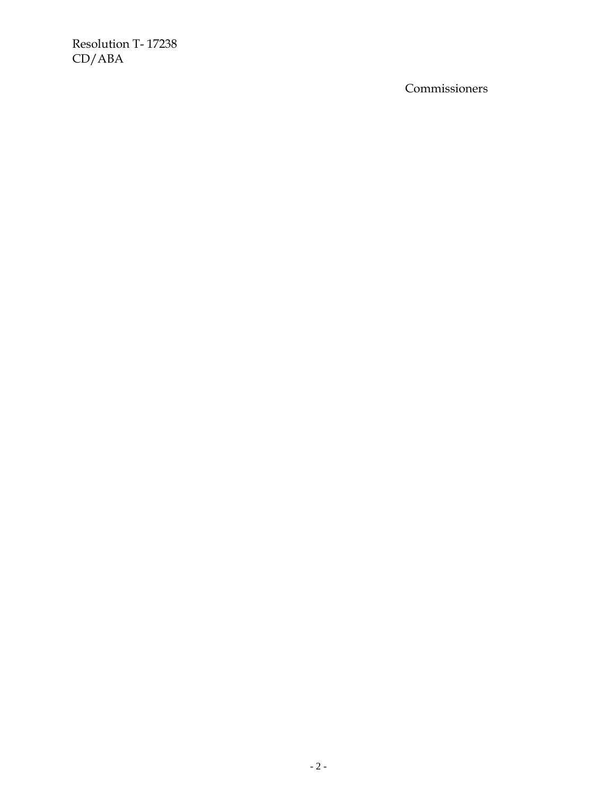Commissioners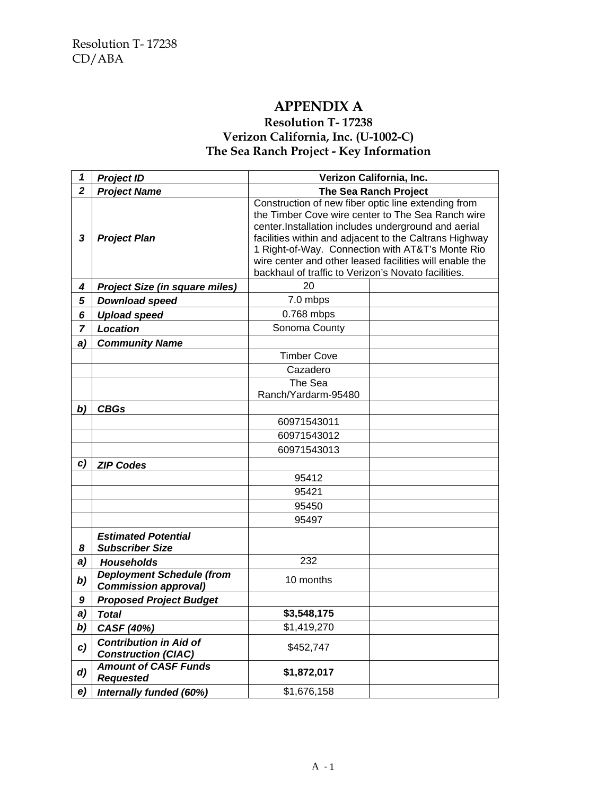## **APPENDIX A**

### **Resolution T- 17238 Verizon California, Inc. (U-1002-C) The Sea Ranch Project - Key Information**

| 1                | <b>Project ID</b>                                               | Verizon California, Inc.                                                                                                                                                                                                                                                                                                                                                                        |                              |
|------------------|-----------------------------------------------------------------|-------------------------------------------------------------------------------------------------------------------------------------------------------------------------------------------------------------------------------------------------------------------------------------------------------------------------------------------------------------------------------------------------|------------------------------|
| $\overline{2}$   | <b>Project Name</b>                                             |                                                                                                                                                                                                                                                                                                                                                                                                 | <b>The Sea Ranch Project</b> |
| $\mathbf{3}$     | <b>Project Plan</b>                                             | Construction of new fiber optic line extending from<br>the Timber Cove wire center to The Sea Ranch wire<br>center.Installation includes underground and aerial<br>facilities within and adjacent to the Caltrans Highway<br>1 Right-of-Way. Connection with AT&T's Monte Rio<br>wire center and other leased facilities will enable the<br>backhaul of traffic to Verizon's Novato facilities. |                              |
| 4                | <b>Project Size (in square miles)</b>                           | 20                                                                                                                                                                                                                                                                                                                                                                                              |                              |
| 5                | <b>Download speed</b>                                           | 7.0 mbps                                                                                                                                                                                                                                                                                                                                                                                        |                              |
| 6                | <b>Upload speed</b>                                             | 0.768 mbps                                                                                                                                                                                                                                                                                                                                                                                      |                              |
| $\overline{7}$   | Location                                                        | Sonoma County                                                                                                                                                                                                                                                                                                                                                                                   |                              |
| a)               | <b>Community Name</b>                                           |                                                                                                                                                                                                                                                                                                                                                                                                 |                              |
|                  |                                                                 | <b>Timber Cove</b>                                                                                                                                                                                                                                                                                                                                                                              |                              |
|                  |                                                                 | Cazadero                                                                                                                                                                                                                                                                                                                                                                                        |                              |
|                  |                                                                 | The Sea                                                                                                                                                                                                                                                                                                                                                                                         |                              |
|                  |                                                                 | Ranch/Yardarm-95480                                                                                                                                                                                                                                                                                                                                                                             |                              |
| b)               | <b>CBGs</b>                                                     |                                                                                                                                                                                                                                                                                                                                                                                                 |                              |
|                  |                                                                 | 60971543011                                                                                                                                                                                                                                                                                                                                                                                     |                              |
|                  |                                                                 | 60971543012                                                                                                                                                                                                                                                                                                                                                                                     |                              |
|                  |                                                                 | 60971543013                                                                                                                                                                                                                                                                                                                                                                                     |                              |
| c)               | <b>ZIP Codes</b>                                                |                                                                                                                                                                                                                                                                                                                                                                                                 |                              |
|                  |                                                                 | 95412                                                                                                                                                                                                                                                                                                                                                                                           |                              |
|                  |                                                                 | 95421                                                                                                                                                                                                                                                                                                                                                                                           |                              |
|                  |                                                                 | 95450                                                                                                                                                                                                                                                                                                                                                                                           |                              |
|                  |                                                                 | 95497                                                                                                                                                                                                                                                                                                                                                                                           |                              |
| 8                | <b>Estimated Potential</b><br><b>Subscriber Size</b>            |                                                                                                                                                                                                                                                                                                                                                                                                 |                              |
| a)               | <b>Households</b>                                               | 232                                                                                                                                                                                                                                                                                                                                                                                             |                              |
| b)               | <b>Deployment Schedule (from</b><br><b>Commission approval)</b> | 10 months                                                                                                                                                                                                                                                                                                                                                                                       |                              |
| 9                | <b>Proposed Project Budget</b>                                  |                                                                                                                                                                                                                                                                                                                                                                                                 |                              |
| a)               | <b>Total</b>                                                    | \$3,548,175                                                                                                                                                                                                                                                                                                                                                                                     |                              |
| b)               | CASF (40%)                                                      | \$1,419,270                                                                                                                                                                                                                                                                                                                                                                                     |                              |
| c)               | <b>Contribution in Aid of</b><br><b>Construction (CIAC)</b>     | \$452,747                                                                                                                                                                                                                                                                                                                                                                                       |                              |
| $\boldsymbol{d}$ | <b>Amount of CASF Funds</b><br><b>Requested</b>                 | \$1,872,017                                                                                                                                                                                                                                                                                                                                                                                     |                              |
| e)               | Internally funded (60%)                                         | \$1,676,158                                                                                                                                                                                                                                                                                                                                                                                     |                              |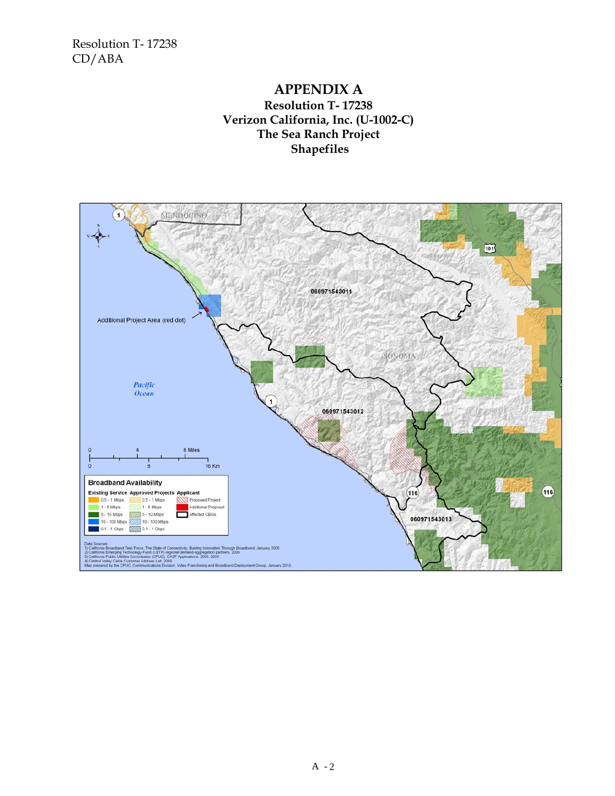### **APPENDIX A Resolution T- 17238 Verizon California, Inc. (U-1002-C) The Sea Ranch Project Shapefiles**